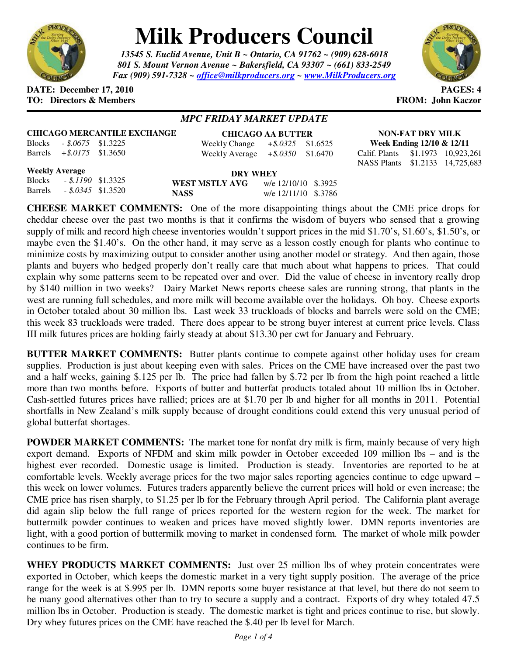

# **Milk Producers Council**

*13545 S. Euclid Avenue, Unit B ~ Ontario, CA 91762 ~ (909) 628-6018 801 S. Mount Vernon Avenue ~ Bakersfield, CA 93307 ~ (661) 833-2549 Fax (909) 591-7328 ~ office@milkproducers.org ~ www.MilkProducers.org*



#### **DATE:** December 17, 2010 **PAGES: 4 TO: Directors & Members FROM: John Kaczor**

Barrels *+\$.0175* \$1.3650

## *MPC FRIDAY MARKET UPDATE*

|               |                     | <b>CHICAGO MERCANTILE EXCHANGE</b> |  |
|---------------|---------------------|------------------------------------|--|
| <b>Blocks</b> | $-.8.0675$ \$1.3225 |                                    |  |

| <b>CHICAGO AA BUTTER</b> |                      |          |  |  |
|--------------------------|----------------------|----------|--|--|
| Weekly Change            | $+$ \$.0325 \$1.6525 |          |  |  |
| Weekly Average           | $+8.0350$            | \$1.6470 |  |  |

**NON-FAT DRY MILK Week Ending 12/10 & 12/11**  Calif. Plants \$1.1973 10,923,261 NASS Plants \$1.2133 14,725,683

## **Weekly Average**

| <b>Weekly Average</b> |                           |                | DRY WHEY             |  |  |
|-----------------------|---------------------------|----------------|----------------------|--|--|
|                       | Blocks - \$.1190 \$1.3325 | WEST MSTLY AVG | w/e 12/10/10 \$.3925 |  |  |
| <b>Barrels</b>        | $-.8.0345$ \$1.3520       | <b>NASS</b>    | w/e 12/11/10 \$.3786 |  |  |

**CHEESE MARKET COMMENTS:** One of the more disappointing things about the CME price drops for cheddar cheese over the past two months is that it confirms the wisdom of buyers who sensed that a growing supply of milk and record high cheese inventories wouldn't support prices in the mid \$1.70's, \$1.60's, \$1.50's, or maybe even the \$1.40's. On the other hand, it may serve as a lesson costly enough for plants who continue to minimize costs by maximizing output to consider another using another model or strategy. And then again, those plants and buyers who hedged properly don't really care that much about what happens to prices. That could explain why some patterns seem to be repeated over and over. Did the value of cheese in inventory really drop by \$140 million in two weeks? Dairy Market News reports cheese sales are running strong, that plants in the west are running full schedules, and more milk will become available over the holidays. Oh boy. Cheese exports in October totaled about 30 million lbs. Last week 33 truckloads of blocks and barrels were sold on the CME; this week 83 truckloads were traded. There does appear to be strong buyer interest at current price levels. Class III milk futures prices are holding fairly steady at about \$13.30 per cwt for January and February.

**BUTTER MARKET COMMENTS:** Butter plants continue to compete against other holiday uses for cream supplies. Production is just about keeping even with sales. Prices on the CME have increased over the past two and a half weeks, gaining \$.125 per lb. The price had fallen by \$.72 per lb from the high point reached a little more than two months before. Exports of butter and butterfat products totaled about 10 million lbs in October. Cash-settled futures prices have rallied; prices are at \$1.70 per lb and higher for all months in 2011. Potential shortfalls in New Zealand's milk supply because of drought conditions could extend this very unusual period of global butterfat shortages.

**POWDER MARKET COMMENTS:** The market tone for nonfat dry milk is firm, mainly because of very high export demand. Exports of NFDM and skim milk powder in October exceeded 109 million lbs – and is the highest ever recorded. Domestic usage is limited. Production is steady. Inventories are reported to be at comfortable levels. Weekly average prices for the two major sales reporting agencies continue to edge upward – this week on lower volumes. Futures traders apparently believe the current prices will hold or even increase; the CME price has risen sharply, to \$1.25 per lb for the February through April period. The California plant average did again slip below the full range of prices reported for the western region for the week. The market for buttermilk powder continues to weaken and prices have moved slightly lower. DMN reports inventories are light, with a good portion of buttermilk moving to market in condensed form. The market of whole milk powder continues to be firm.

**WHEY PRODUCTS MARKET COMMENTS:** Just over 25 million lbs of whey protein concentrates were exported in October, which keeps the domestic market in a very tight supply position. The average of the price range for the week is at \$.995 per lb. DMN reports some buyer resistance at that level, but there do not seem to be many good alternatives other than to try to secure a supply and a contract. Exports of dry whey totaled 47.5 million lbs in October. Production is steady. The domestic market is tight and prices continue to rise, but slowly. Dry whey futures prices on the CME have reached the \$.40 per lb level for March.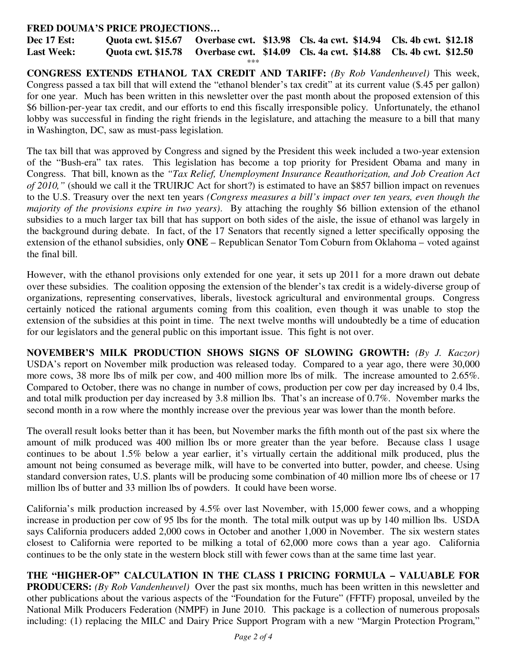## **FRED DOUMA'S PRICE PROJECTIONS…**

**Dec 17 Est: Quota cwt. \$15.67 Overbase cwt. \$13.98 Cls. 4a cwt. \$14.94 Cls. 4b cwt. \$12.18 Last Week: Quota cwt. \$15.78 Overbase cwt. \$14.09 Cls. 4a cwt. \$14.88 Cls. 4b cwt. \$12.50**  \*\*\*

**CONGRESS EXTENDS ETHANOL TAX CREDIT AND TARIFF:** *(By Rob Vandenheuvel)* This week, Congress passed a tax bill that will extend the "ethanol blender's tax credit" at its current value (\$.45 per gallon) for one year. Much has been written in this newsletter over the past month about the proposed extension of this \$6 billion-per-year tax credit, and our efforts to end this fiscally irresponsible policy. Unfortunately, the ethanol lobby was successful in finding the right friends in the legislature, and attaching the measure to a bill that many in Washington, DC, saw as must-pass legislation.

The tax bill that was approved by Congress and signed by the President this week included a two-year extension of the "Bush-era" tax rates. This legislation has become a top priority for President Obama and many in Congress. That bill, known as the *"Tax Relief, Unemployment Insurance Reauthorization, and Job Creation Act of 2010,"* (should we call it the TRUIRJC Act for short?) is estimated to have an \$857 billion impact on revenues to the U.S. Treasury over the next ten years *(Congress measures a bill's impact over ten years, even though the majority of the provisions expire in two years)*. By attaching the roughly \$6 billion extension of the ethanol subsidies to a much larger tax bill that has support on both sides of the aisle, the issue of ethanol was largely in the background during debate. In fact, of the 17 Senators that recently signed a letter specifically opposing the extension of the ethanol subsidies, only **ONE** – Republican Senator Tom Coburn from Oklahoma – voted against the final bill.

However, with the ethanol provisions only extended for one year, it sets up 2011 for a more drawn out debate over these subsidies. The coalition opposing the extension of the blender's tax credit is a widely-diverse group of organizations, representing conservatives, liberals, livestock agricultural and environmental groups. Congress certainly noticed the rational arguments coming from this coalition, even though it was unable to stop the extension of the subsidies at this point in time. The next twelve months will undoubtedly be a time of education for our legislators and the general public on this important issue. This fight is not over.

**NOVEMBER'S MILK PRODUCTION SHOWS SIGNS OF SLOWING GROWTH:** *(By J. Kaczor)*  USDA's report on November milk production was released today. Compared to a year ago, there were 30,000 more cows, 38 more lbs of milk per cow, and 400 million more lbs of milk. The increase amounted to 2.65%. Compared to October, there was no change in number of cows, production per cow per day increased by 0.4 lbs, and total milk production per day increased by 3.8 million lbs. That's an increase of 0.7%. November marks the second month in a row where the monthly increase over the previous year was lower than the month before.

The overall result looks better than it has been, but November marks the fifth month out of the past six where the amount of milk produced was 400 million lbs or more greater than the year before. Because class 1 usage continues to be about 1.5% below a year earlier, it's virtually certain the additional milk produced, plus the amount not being consumed as beverage milk, will have to be converted into butter, powder, and cheese. Using standard conversion rates, U.S. plants will be producing some combination of 40 million more lbs of cheese or 17 million lbs of butter and 33 million lbs of powders. It could have been worse.

California's milk production increased by 4.5% over last November, with 15,000 fewer cows, and a whopping increase in production per cow of 95 lbs for the month. The total milk output was up by 140 million lbs. USDA says California producers added 2,000 cows in October and another 1,000 in November. The six western states closest to California were reported to be milking a total of 62,000 more cows than a year ago. California continues to be the only state in the western block still with fewer cows than at the same time last year.

**THE "HIGHER-OF" CALCULATION IN THE CLASS I PRICING FORMULA – VALUABLE FOR PRODUCERS:** *(By Rob Vandenheuvel)* Over the past six months, much has been written in this newsletter and other publications about the various aspects of the "Foundation for the Future" (FFTF) proposal, unveiled by the National Milk Producers Federation (NMPF) in June 2010. This package is a collection of numerous proposals including: (1) replacing the MILC and Dairy Price Support Program with a new "Margin Protection Program,"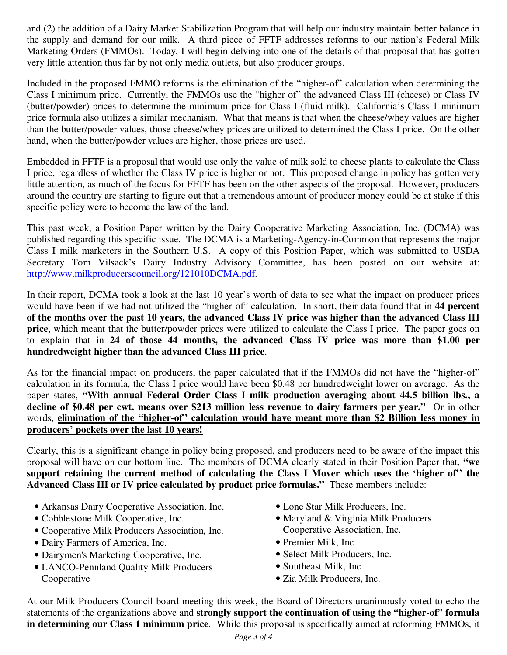and (2) the addition of a Dairy Market Stabilization Program that will help our industry maintain better balance in the supply and demand for our milk. A third piece of FFTF addresses reforms to our nation's Federal Milk Marketing Orders (FMMOs). Today, I will begin delving into one of the details of that proposal that has gotten very little attention thus far by not only media outlets, but also producer groups.

Included in the proposed FMMO reforms is the elimination of the "higher-of" calculation when determining the Class I minimum price. Currently, the FMMOs use the "higher of" the advanced Class III (cheese) or Class IV (butter/powder) prices to determine the minimum price for Class I (fluid milk). California's Class 1 minimum price formula also utilizes a similar mechanism. What that means is that when the cheese/whey values are higher than the butter/powder values, those cheese/whey prices are utilized to determined the Class I price. On the other hand, when the butter/powder values are higher, those prices are used.

Embedded in FFTF is a proposal that would use only the value of milk sold to cheese plants to calculate the Class I price, regardless of whether the Class IV price is higher or not. This proposed change in policy has gotten very little attention, as much of the focus for FFTF has been on the other aspects of the proposal. However, producers around the country are starting to figure out that a tremendous amount of producer money could be at stake if this specific policy were to become the law of the land.

This past week, a Position Paper written by the Dairy Cooperative Marketing Association, Inc. (DCMA) was published regarding this specific issue. The DCMA is a Marketing-Agency-in-Common that represents the major Class I milk marketers in the Southern U.S. A copy of this Position Paper, which was submitted to USDA Secretary Tom Vilsack's Dairy Industry Advisory Committee, has been posted on our website at: http://www.milkproducerscouncil.org/121010DCMA.pdf.

In their report, DCMA took a look at the last 10 year's worth of data to see what the impact on producer prices would have been if we had not utilized the "higher-of" calculation. In short, their data found that in **44 percent of the months over the past 10 years, the advanced Class IV price was higher than the advanced Class III price**, which meant that the butter/powder prices were utilized to calculate the Class I price. The paper goes on to explain that in **24 of those 44 months, the advanced Class IV price was more than \$1.00 per hundredweight higher than the advanced Class III price**.

As for the financial impact on producers, the paper calculated that if the FMMOs did not have the "higher-of" calculation in its formula, the Class I price would have been \$0.48 per hundredweight lower on average. As the paper states, **"With annual Federal Order Class I milk production averaging about 44.5 billion lbs., a decline of \$0.48 per cwt. means over \$213 million less revenue to dairy farmers per year."** Or in other words, elimination of the "higher-of" calculation would have meant more than \$2 Billion less money in **producers' pockets over the last 10 years!**

Clearly, this is a significant change in policy being proposed, and producers need to be aware of the impact this proposal will have on our bottom line. The members of DCMA clearly stated in their Position Paper that, **"we support retaining the current method of calculating the Class I Mover which uses the 'higher of'' the Advanced Class III or IV price calculated by product price formulas."** These members include:

- Arkansas Dairy Cooperative Association, Inc.
- Cobblestone Milk Cooperative, Inc.
- Cooperative Milk Producers Association, Inc.
- Dairy Farmers of America, Inc.
- Dairymen's Marketing Cooperative, Inc.
- LANCO-Pennland Quality Milk Producers Cooperative
- Lone Star Milk Producers, Inc.
- Maryland & Virginia Milk Producers Cooperative Association, Inc.
- Premier Milk, Inc.
- Select Milk Producers, Inc.
- Southeast Milk, Inc.
- Zia Milk Producers, Inc.

At our Milk Producers Council board meeting this week, the Board of Directors unanimously voted to echo the statements of the organizations above and **strongly support the continuation of using the "higher-of" formula in determining our Class 1 minimum price**. While this proposal is specifically aimed at reforming FMMOs, it